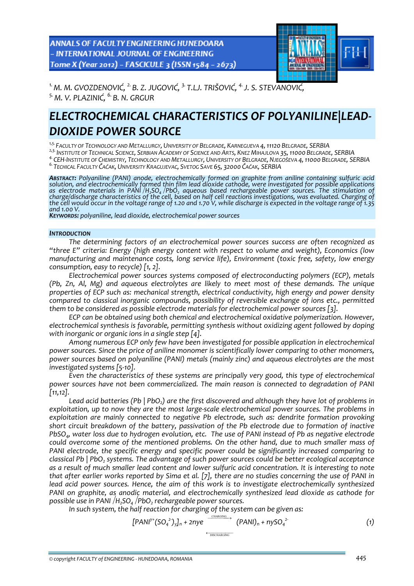**ANNALS OF FACULTY ENGINEERING HUNEDOARA** - INTERNATIONAL JOURNAL OF ENGINEERING Tome X (Year 2012) - FASCICULE 3 (ISSN 1584 - 2673)



*1.M. M. GVOZDENOVIĆ, 2. B. Z. JUGOVIĆ, 3. T.LJ. TRIŠOVIĆ, 4.J. S. STEVANOVIĆ, 5.M. V. PLAZINIĆ, 6. B. N. GRGUR* 

# *ELECTROCHEMICAL CHARACTERISTICS OF POLYANILINE|LEAD‐ DIOXIDE POWER SOURCE*

*1,5.FACULTY OF TECHNOLOGY AND METALLURGY, UNIVERSITY OF BELGRADE, KARNEGIJEVA 4,11120 BELGRADE, SERBIA*

<sup>2,3</sup> INSTITUTE OF TECHNICAL SCIENCE, SERBIAN ÁCADEMY OF SCIENCE AND ÁRTS, KNEZ MIHAJLOVA 35, 11000 BELGRADE, SERBIA<br><sup>4.</sup> CEH-INSTITUTE OF CHEMISTRY, TECHNOLOGY AND METALLURGY, UNIVERSITY OF BELGRADE, NJEGOŠEVA 4, 11000 BE

*ABSTRACT: Polyaniline (PANI) anode, electrochemically formed on graphite from aniline containing sulfuric acid* solution, and electrochemically formed thin film lead dioxide cathode, were investigated for possible applications<br>as electrode materials in PANI /H<sub>2</sub>SO<sub>4</sub> /PbO<sub>2</sub> aqueous based rechargeable power sources. The s *and 1.00 V. KEYWORDS: polyaniline, lead dioxide, electrochemical power sources* 

### *INTRODUCTION*

*The determining factors of an electrochemical power sources success are often recognized as "three E" criteria: Energy (high energy content with respect to volume and weight), Economics (low manufacturing and maintenance costs, long service life), Environment (toxic free, safety, low energy consumption, easy to recycle) [1, 2].* 

*Electrochemical power sources systems composed of electroconducting polymers (ECP), metals (Pb, Zn, Al, Mg) and aqueous electrolytes are likely to meet most of these demands. The unique properties of ECP such as: mechanical strength, electrical conductivity, high energy and power density compared to classical inorganic compounds, possibility of reversible exchange of ions etc., permitted them to be considered as possible electrode materials for electrochemical power sources [3].*

*ECP can be obtained using both chemical and electrochemical oxidative polymerization. However, electrochemical synthesis is favorable, permitting synthesis without oxidizing agent followed by doping with inorganic or organic ions in a single step [4].*

*Among numerous ECP only few have been investigated for possible application in electrochemical power sources. Since the price of aniline monomer is scientifically lower comparing to other monomers, power sources based on polyaniline (PANI) metals (mainly zinc) and aqueous electrolytes are the most investigated systems [5‐10].*

*Even the characteristics of these systems are principally very good, this type of electrochemical power sources have not been commercialized. The main reason is connected to degradation of PANI [11,12].*

*Lead acid batteries (Pb | PbO2) are the first discovered and although they have lot of problems in exploitation, up to now they are the most large‐scale electrochemical power sources. The problems in exploitation are mainly connected to negative Pb electrode, such as: dendrite formation provoking short circuit breakdown of the battery, passivation of the Pb electrode due to formation of inactive* PbSO<sub>4</sub>, water loss due to hydrogen evolution, etc. The use of PANI instead of Pb as negative electrode *could overcome some of the mentioned problems. On the other hand, due to much smaller mass of PANI electrode, the specific energy and specific power could be significantly increased comparing to classical Pb | PbO2 systems. The advantage of such power sources could be better ecological acceptance* as a result of much smaller lead content and lower sulfuric acid concentration. It is interesting to note that after earlier works reported by Sima et al. [7], there are no studies concerning the use of PANI in *lead acid power sources. Hence, the aim of this work is to investigate electrochemically synthesized PANI on graphite, as anodic material, and electrochemically synthesized lead dioxide as cathode for possible use* in PANI /H<sub>2</sub>SO<sub>4</sub> /PbO<sub>2</sub> rechargeable power sources.

*In such system, the half reaction for charging of the system can be given as:*

$$
[PANI^{y+}(SO_4^{2-})y]_n + 2ny e \xrightarrow{CHAKGING} (PANI)_n + nysO_4^{2}
$$
 (1)

$$
\longleftarrow \text{DISCHARGING}
$$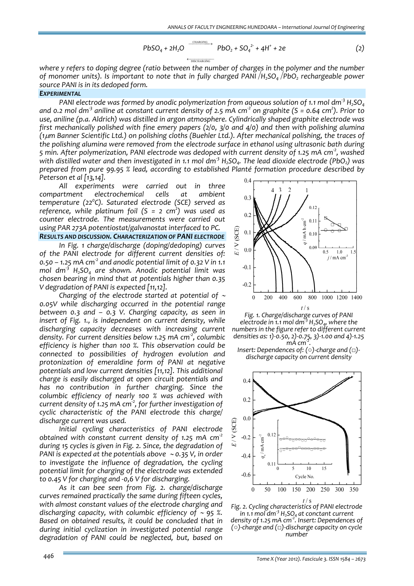$$
PbSO_4 + 2H_2O \xrightarrow{\text{CHARGING} \atop \text{CDSCHARGING}} PbO_2 + SO_4^{2^+} + 4H^+ + 2e \tag{2}
$$

*where y refers to doping degree (ratio between the number of charges in the polymer and the number of monomer units). Is important to note that in fully charged PANI*⏐*H2SO4*⏐*PbO2 rechargeable power source PANI is in its dedoped form.*

#### *EXPERIMENTAL*

*PANI electrode was formed by anodic polymerization from aqueous solution of 1.1 mol dm‐<sup>3</sup> H2SO4* and 0.2 mol dm<sup>3</sup> aniline at constant current density of 2.5 mA cm<sup>2</sup> on graphite (S = 0.64 cm<sup>2</sup>). Prior to *use, aniline (p.a. Aldrich) was distilled in argon atmosphere. Cylindrically shaped graphite electrode was first mechanically polished with fine emery papers (2/0, 3/0 and 4/0) and then with polishing alumina (1*μ*m Banner Scientific Ltd.) on polishing cloths (Buehler Ltd.). After mechanical polishing, the traces of the polishing alumina were removed from the electrode surface in ethanol using ultrasonic bath during* 5 min. After polymerization, PANI electrode was dedoped with current density of 1.25 mA cm<sup>2</sup>, washed with distilled water and then investigated in 1.1 mol dm<sup>3</sup>  $H_2SO_4$ . The lead dioxide electrode (PbO<sub>2</sub>) was *prepared from pure 99.95 % lead, according to established Planté formation procedure described by Peterson et al [13,14].*

*All experiments were carried out in three compartment electrochemical cells at ambient temperature (220 C). Saturated electrode (SCE) served as reference, while platinum foil (S = 2 cm<sup>2</sup> ) was used as counter electrode. The measurements were carried out using PAR 273A potentiostat/galvanostat interfaced to PC.*

### *RESULTS AND DISCUSSION. CHARACTERIZATION OF PANI ELECTRODE*

*In Fig. 1 charge/discharge (doping/dedoping) curves of the PANI electrode for different current densities of: 0.50 – 1.25 mA cm‐<sup>2</sup> and anodic potential limit of 0.32 V in 1.1 mol dm‐<sup>3</sup> H2SO4 are shown. Anodic potential limit was chosen bearing in mind that at potentials higher than 0.35 V degradation of PANI is expected [11,12].* 

*Charging of the electrode started at potential of* <sup>∼</sup> *0.05V while discharging occurred in the potential range between 0.3 and – 0.3 V. Charging capacity, as seen in insert of Fig. 1., is independent on current density, while discharging capacity decreases with increasing current density. For current densities below 1.25 mA cm‐<sup>2</sup> , columbic efficiency is higher than 100 %. This observation could be connected to possibilities of hydrogen evolution and protonization of emeraldine form of PANI at negative potentials and low current densities [11,12]. This additional charge is easily discharged at open circuit potentials and has no contribution in further charging. Since the columbic efficiency of nearly 100 % was achieved with current density of 1.25 mA cm‐<sup>2</sup> , for further investigation of cyclic characteristic of the PANI electrode this charge/ discharge current was used.* 

*Initial cycling characteristics of PANI electrode obtained with constant current density of 1.25 mA cm‐<sup>2</sup> during 15 cycles is given in Fig. 2. Since, the degradation of PANI is expected at the potentials above* <sup>∼</sup> *0.35 V, in order to investigate the influence of degradation, the cycling potential limit for charging of the electrode was extended to 0.45 V for charging and ‐0,6 V for discharging.* 

*As it can bee seen from Fig. 2. charge/discharge curves remained practically the same during fifteen cycles, with almost constant values of the electrode charging and discharging capacity, with columbic efficiency of* <sup>∼</sup> *95 %. Based on obtained results, it could be concluded that in during initial cyclization in investigated potential range degradation of PANI could be neglected, but, based on*





*Insert: Dependences of: (○)‐charge and (□)‐ discharge capacity on current density*



*Fig. 2. Cycling characteristics of PANI electrode in 1.1 mol dm‐<sup>3</sup> H2SO4 at conctant current density of 1.25 mA cm‐<sup>2</sup> . Insert: Dependences of (○)‐charge and (□)‐discharge capacity on cycle number*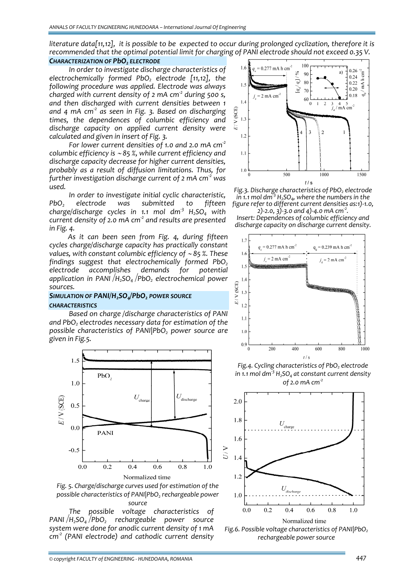literature data[11,12], it is possible to be expected to occur during prolonged cyclization, therefore it is *recommended that the optimal potential limit for charging of PANI electrode should not exceed 0.35 V.*

## *CHARACTERIZATION OF PbO<sub>2</sub> ELECTRODE*

*In order to investigate discharge characteristics of electrochemically formed PbO2 electrode [11,12], the following procedure was applied. Electrode was always charged with current density of 2 mA cm‐<sup>2</sup> during 500 s, and then discharged with current densities between 1 and 4 mA cm‐<sup>2</sup> as seen in Fig. 3. Based on discharging times, the dependences of columbic efficiency and discharge capacity on applied current density were calculated and given in insert of Fig. 3.*

*For lower current densities of 1.0 and 2.0 mA cm‐<sup>2</sup> columbic efficiency is* <sup>∼</sup> *85 %, while current efficiency and discharge capacity decrease for higher current densities, probably as a result of diffusion limitations. Thus, for further investigation discharge current of 2 mA cm‐<sup>2</sup> was used.*

*In order to investigate initial cyclic characteristic, PbO2 electrode was submitted to fifteen charge/discharge cycles in 1.1 mol dm‐<sup>3</sup> H2SO4 with current density of 2.0 mA cm‐<sup>2</sup> and results are presented in Fig. 4.*

*As it can been seen from Fig. 4, during fifteen cycles charge/discharge capacity has practically constant values, with constant columbic efficiency of* <sup>∼</sup> *85 %. These findings suggest that electrochemically formed PbO2 electrode accomplishes demands for potential application in PANI*⏐*H2SO4*⏐*PbO2 electrochemical power sources.*

### *SIMULATION OF PANI/H2SO4/PbO2 POWER SOURCE CHARACTERISTICS*

*Based on charge /discharge characteristics of PANI and PbO2 electrodes necessary data for estimation of the possible characteristics of PANI|PbO2 power source are given in Fig.5.*



*Fig. 5. Charge/discharge curves used for estimation of the possible characteristics of PANI|PbO2 rechargeable power source*

*The possible voltage characteristics of PANI*⏐*H2SO4*⏐*PbO2 rechargeable power source system were done for anodic current density of 1 mA cm‐<sup>2</sup> (PANI electrode) and cathodic current density*



*Fig.3.* Discharge characteristics of PbO<sub>2</sub> electrode *in* 1.1 mol  $dm^3$   $H_2SO_4$ , where the numbers in the *figure refer to different current densities as:1)‐1.0,*

*2)‐2.0, 3)‐3.0 and 4)‐4.0 mA cm‐<sup>2</sup> . Insert: Dependences of columbic efficiency and discharge capacity on discharge current density.*



*Fig.4.* Cycling *characteristics* of *PbO<sub>2</sub> electrode in 1.1 mol dm‐<sup>3</sup> H2SO4 at constant current density of 2.0 mA cm‐<sup>2</sup>*



*Fig.6.* Possible voltage characteristics of PANI|PbO<sub>2</sub> *rechargeable power source*